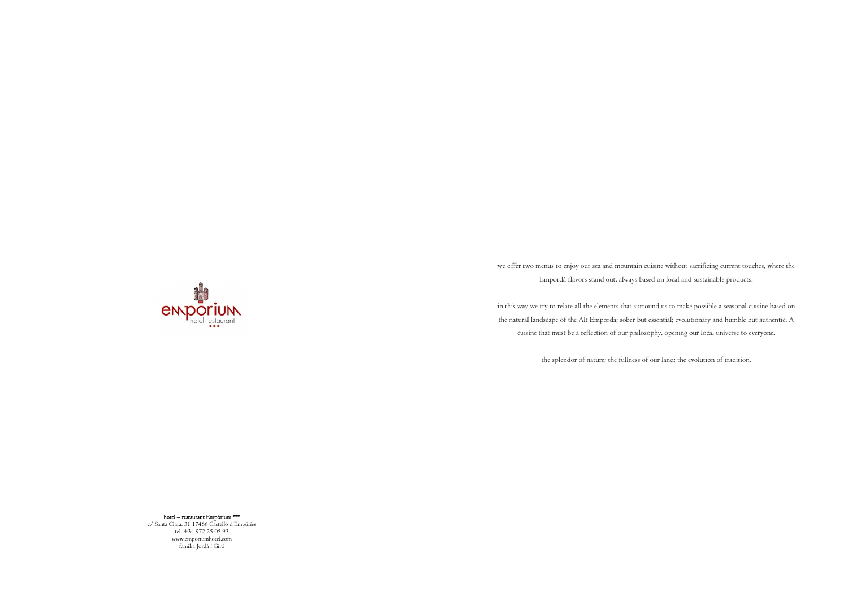hotel – restaurant Empòrium \*\*\*

emporium

c/ Santa Clara, 31 17486 Castelló d'Empúries tel. +34 972 25 05 93 www.emporiumhotel.com família Jordà i Giró

we offer two menus to enjoy our sea and mountain cuisine without sacrificing current touches, where the Empordà flavors stand out, always based on local and sustainable products.

in this way we try to relate all the elements that surround us to make possible a seasonal cuisine based on the natural landscape of the Alt Empordà; sober but essential; evolutionary and humble but authentic. A cuisine that must be a reflection of our philosophy, opening our local universe to everyone.

the splendor of nature; the fullness of our land; the evolution of tradition.